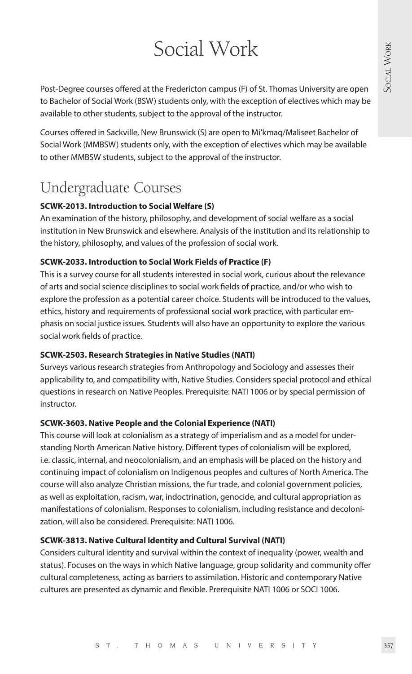# Social Work

Post-Degree courses offered at the Fredericton campus (F) of St. Thomas University are open to Bachelor of Social Work (BSW) students only, with the exception of electives which may be available to other students, subject to the approval of the instructor.

Courses offered in Sackville, New Brunswick (S) are open to Mi'kmaq/Maliseet Bachelor of Social Work (MMBSW) students only, with the exception of electives which may be available to other MMBSW students, subject to the approval of the instructor.

# Undergraduate Courses

# **SCWK-2013. Introduction to Social Welfare (S)**

An examination of the history, philosophy, and development of social welfare as a social institution in New Brunswick and elsewhere. Analysis of the institution and its relationship to the history, philosophy, and values of the profession of social work.

### **SCWK-2033. Introduction to Social Work Fields of Practice (F)**

This is a survey course for all students interested in social work, curious about the relevance of arts and social science disciplines to social work fields of practice, and/or who wish to explore the profession as a potential career choice. Students will be introduced to the values, ethics, history and requirements of professional social work practice, with particular emphasis on social justice issues. Students will also have an opportunity to explore the various social work fields of practice.

#### **SCWK-2503. Research Strategies in Native Studies (NATI)**

Surveys various research strategies from Anthropology and Sociology and assesses their applicability to, and compatibility with, Native Studies. Considers special protocol and ethical questions in research on Native Peoples. Prerequisite: NATI 1006 or by special permission of instructor.

#### **SCWK-3603. Native People and the Colonial Experience (NATI)**

This course will look at colonialism as a strategy of imperialism and as a model for understanding North American Native history. Different types of colonialism will be explored, i.e. classic, internal, and neocolonialism, and an emphasis will be placed on the history and continuing impact of colonialism on Indigenous peoples and cultures of North America. The course will also analyze Christian missions, the fur trade, and colonial government policies, as well as exploitation, racism, war, indoctrination, genocide, and cultural appropriation as manifestations of colonialism. Responses to colonialism, including resistance and decolonization, will also be considered. Prerequisite: NATI 1006.

# **SCWK-3813. Native Cultural Identity and Cultural Survival (NATI)**

Considers cultural identity and survival within the context of inequality (power, wealth and status). Focuses on the ways in which Native language, group solidarity and community offer cultural completeness, acting as barriers to assimilation. Historic and contemporary Native cultures are presented as dynamic and flexible. Prerequisite NATI 1006 or SOCI 1006.